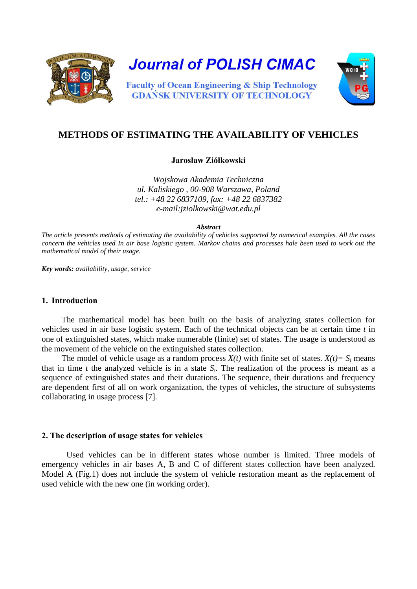

**Journal of POLISH CIMAC** 

**Faculty of Ocean Engineering & Ship Technology GDAŃSK UNIVERSITY OF TECHNOLOGY** 



# **METHODS OF ESTIMATING THE AVAILABILITY OF VEHICLES**

# **Jarosław Ziółkowski**

*Wojskowa Akademia Techniczna ul. Kaliskiego , 00-908 Warszawa, Poland tel.: +48 22 6837109, fax: +48 22 6837382 e-mail:jziolkowski@wat.edu.pl* 

*Abstract* 

*The article presents methods of estimating the availability of vehicles supported by numerical examples. All the cases concern the vehicles used In air base logistic system. Markov chains and processes hale been used to work out the mathematical model of their usage.*

*Key words: availability, usage, service*

#### **1. Introduction**

The mathematical model has been built on the basis of analyzing states collection for vehicles used in air base logistic system. Each of the technical objects can be at certain time *t* in one of extinguished states, which make numerable (finite) set of states. The usage is understood as the movement of the vehicle on the extinguished states collection.

The model of vehicle usage as a random process  $X(t)$  with finite set of states.  $X(t) = S_i$  means that in time  $t$  the analyzed vehicle is in a state  $S_i$ . The realization of the process is meant as a sequence of extinguished states and their durations. The sequence, their durations and frequency are dependent first of all on work organization, the types of vehicles, the structure of subsystems collaborating in usage process [7].

#### **2. The description of usage states for vehicles**

Used vehicles can be in different states whose number is limited. Three models of emergency vehicles in air bases A, B and C of different states collection have been analyzed. Model A (Fig.1) does not include the system of vehicle restoration meant as the replacement of used vehicle with the new one (in working order).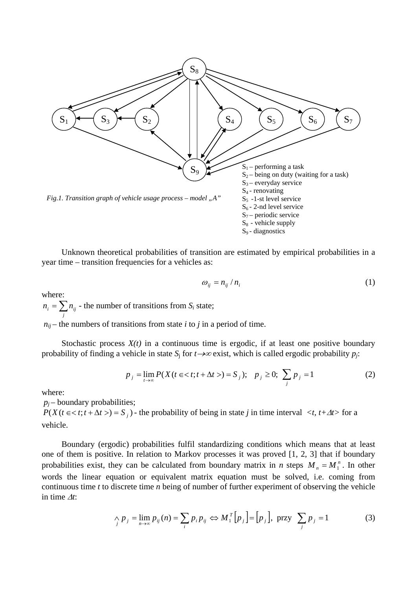

Unknown theoretical probabilities of transition are estimated by empirical probabilities in a year time – transition frequencies for a vehicles as:

$$
\omega_{ij} = n_{ij} / n_i \tag{1}
$$

where:

 $n_i = \sum n_{ij}$  - the number of transitions from  $S_i$  state; *j*

 $n_{ij}$  – the numbers of transitions from state *i* to *j* in a period of time.

Stochastic process  $X(t)$  in a continuous time is ergodic, if at least one positive boundary probability of finding a vehicle in state  $S_i$  for  $t \rightarrow \infty$  exist, which is called ergodic probability  $p_i$ :

$$
p_j = \lim_{t \to \infty} P(X(t \in )) = S_j); \quad p_j \ge 0; \sum_j p_j = 1
$$
 (2)

where:

 $p_i$  – boundary probabilities;

 $P(X(t \le t; t + \Delta t > t = S_i)$  - the probability of being in state *j* in time interval  $\langle t, t + \Delta t \rangle$  for a vehicle.

Boundary (ergodic) probabilities fulfil standardizing conditions which means that at least one of them is positive. In relation to Markov processes it was proved [1, 2, 3] that if boundary probabilities exist, they can be calculated from boundary matrix in *n* steps  $M_n = M_1^n$ . In other words the linear equation or equivalent matrix equation must be solved, i.e. coming from continuous time *t* to discrete time *n* being of number of further experiment of observing the vehicle in time <sup>∆</sup>*t*:

$$
\bigwedge_{j} p_{j} = \lim_{n \to \infty} p_{ij}(n) = \sum_{i} p_{i} p_{ij} \Leftrightarrow M_{1}^{T} [p_{j}] = [p_{j}], \text{ przy } \sum_{j} p_{j} = 1
$$
 (3)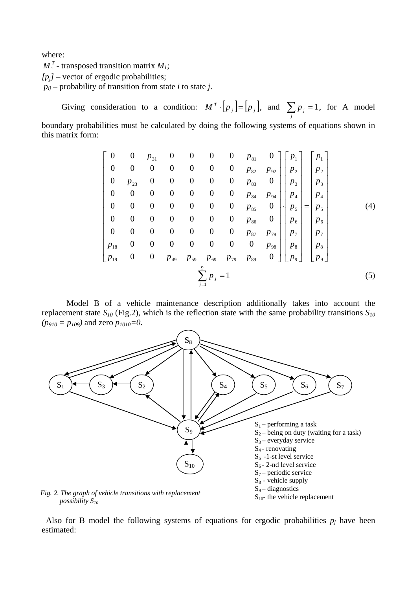where:

 $M_1^T$  - transposed transition matrix  $M_1$ ;

 $[p_j]$  – vector of ergodic probabilities;

 $p_{ij}$  – probability of transition from state *i* to state *j*.

Giving consideration to a condition:  $M^T \cdot [p_j] = [p_j]$ , and  $\sum_j p_j =$  $p_j = 1$ , for A model boundary probabilities must be calculated by doing the following systems of equations shown in this matrix form:

$$
\begin{bmatrix}\n0 & 0 & p_{31} & 0 & 0 & 0 & 0 & p_{81} & 0 \\
0 & 0 & 0 & 0 & 0 & 0 & p_{82} & p_{92} \\
0 & p_{23} & 0 & 0 & 0 & 0 & 0 & p_{83} & 0 \\
0 & 0 & 0 & 0 & 0 & 0 & 0 & p_{84} & p_{94} \\
0 & 0 & 0 & 0 & 0 & 0 & 0 & p_{85} & 0 \\
0 & 0 & 0 & 0 & 0 & 0 & 0 & p_{85} & 0 \\
0 & 0 & 0 & 0 & 0 & 0 & 0 & p_{86} & 0 \\
0 & 0 & 0 & 0 & 0 & 0 & 0 & p_{87} & p_{79} \\
p_{18} & 0 & 0 & 0 & 0 & 0 & 0 & 0 & p_{88} \\
p_{19} & 0 & 0 & p_{49} & p_{59} & p_{69} & p_{79} & p_{89} & 0\n\end{bmatrix}\n\begin{bmatrix}\np_1 \\
p_2 \\
p_3 \\
p_4 \\
p_5 \\
p_6 \\
p_7 \\
p_8 \\
p_9\n\end{bmatrix}\n\begin{bmatrix}\np_1 \\
p_2 \\
p_3 \\
p_4 \\
p_5 \\
p_6 \\
p_7 \\
p_8 \\
p_9\n\end{bmatrix}\n\begin{bmatrix}\np_1 \\
p_2 \\
p_3 \\
p_4 \\
p_5 \\
p_6 \\
p_7 \\
p_8 \\
p_9\n\end{bmatrix}\n\begin{bmatrix}\n0 \\
0 \\
0 \\
0 \\
0 \\
0\n\end{bmatrix}\n\begin{bmatrix}\n0 \\
0 \\
0 \\
0 \\
0 \\
0\n\end{bmatrix}\n\begin{bmatrix}\n0 \\
0 \\
0 \\
0 \\
0 \\
0\n\end{bmatrix}\n\begin{bmatrix}\n0 \\
0 \\
0 \\
0 \\
0 \\
0\n\end{bmatrix}\n\begin{bmatrix}\n0 \\
0 \\
0 \\
0 \\
0 \\
0\n\end{bmatrix}\n\begin{bmatrix}\n0 \\
0 \\
0 \\
0 \\
0 \\
0\n\end{bmatrix}\n\begin{bmatrix}\n0 \\
0 \\
0 \\
0 \\
0 \\
0\n\end{bmatrix}\n\begin{bmatrix}\n0 \\
0 \\
0 \\
0 \\
0 \\
0\n\end{bmatrix}\n\begin{bmatrix}\n0 \\
0 \\
0 \\
0 \\
0 \\
0\n\end{bmatrix}\n\begin{bmatrix}\n0 \\
0 \\
0 \\
0 \\
0 \\
0\n\end{bmatrix}\n\begin{bmatrix}\n0 \\
0 \\
0 \\
0 \\
0 \\
$$

Model B of a vehicle maintenance description additionally takes into account the replacement state  $S_{10}$  (Fig.2), which is the reflection state with the same probability transitions  $S_{10}$  $(p_{910} = p_{109})$  and zero  $p_{1010} = 0$ .



Also for B model the following systems of equations for ergodic probabilities  $p_i$  have been estimated: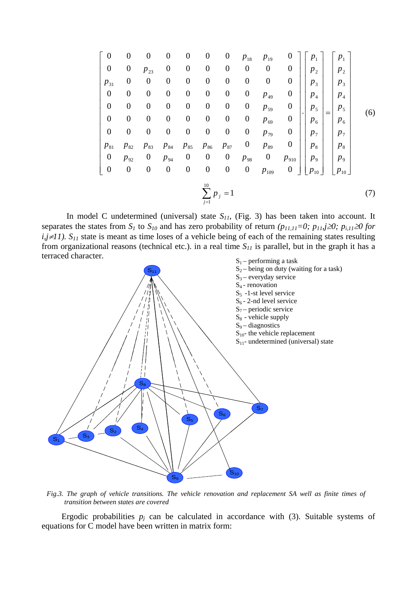$$
\begin{bmatrix}\n0 & 0 & 0 & 0 & 0 & 0 & p_{18} & p_{19} & 0 \\
0 & 0 & p_{23} & 0 & 0 & 0 & 0 & 0 & 0 & 0 \\
p_{31} & 0 & 0 & 0 & 0 & 0 & 0 & 0 & 0 & 0 \\
0 & 0 & 0 & 0 & 0 & 0 & 0 & 0 & p_{49} & 0 \\
0 & 0 & 0 & 0 & 0 & 0 & 0 & 0 & p_{59} & 0 \\
0 & 0 & 0 & 0 & 0 & 0 & 0 & 0 & p_{69} & 0 \\
0 & 0 & 0 & 0 & 0 & 0 & 0 & 0 & p_{79} & 0 \\
p_{81} & p_{82} & p_{83} & p_{84} & p_{85} & p_{86} & p_{87} & 0 & p_{89} & 0 \\
0 & p_{92} & 0 & p_{94} & 0 & 0 & 0 & p_{98} & 0 & p_{910} \\
0 & 0 & 0 & 0 & 0 & 0 & 0 & 0 & p_{98} & 0 & p_{910} \\
0 & 0 & 0 & 0 & 0 & 0 & 0 & 0 & p_{109} & 0\n\end{bmatrix}\n\begin{bmatrix}\np_1 \\
p_2 \\
p_3 \\
p_4 \\
p_5 \\
p_6 \\
p_7 \\
p_8 \\
p_9 \\
p_9 \\
p_1 \\
p_1 \\
p_2 \\
p_0\n\end{bmatrix}\n\begin{bmatrix}\np_1 \\
p_2 \\
p_3 \\
p_4 \\
p_5 \\
p_6 \\
p_7 \\
p_8 \\
p_9 \\
p_9 \\
p_1 \\
p_0\n\end{bmatrix}\n\tag{6}
$$

In model C undetermined (universal) state  $S_{II}$ , (Fig. 3) has been taken into account. It separates the states from  $S_l$  to  $S_{l0}$  and has zero probability of return  $(p_{11,11}=0; p_{11,1} \ge 0; p_{i,11} \ge 0$  for  $i,j \neq 11$ ). S<sub>11</sub> state is meant as time loses of a vehicle being of each of the remaining states resulting from organizational reasons (technical etc.). in a real time  $S_{II}$  is parallel, but in the graph it has a terraced character.



*Fig.3. The graph of vehicle transitions. The vehicle renovation and replacement SA well as finite times of transition between states are covered* 

Ergodic probabilities  $p_i$  can be calculated in accordance with  $(3)$ . Suitable systems of equations for C model have been written in matrix form: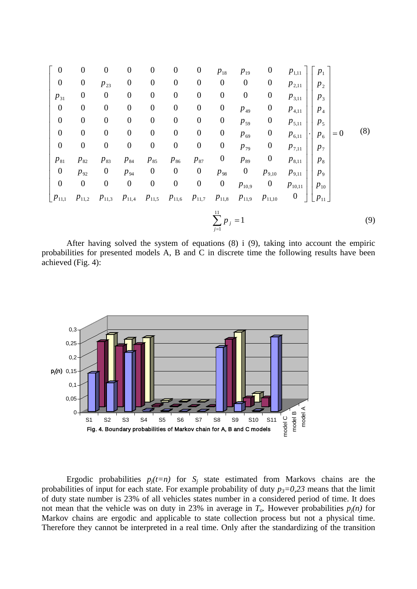$$
\begin{bmatrix}\n0 & 0 & 0 & 0 & 0 & 0 & 0 & p_{18} & p_{19} & 0 & p_{1,11} \\
0 & 0 & p_{23} & 0 & 0 & 0 & 0 & 0 & 0 & 0 & p_{2,11} \\
p_{31} & 0 & 0 & 0 & 0 & 0 & 0 & 0 & 0 & p_{3,11} \\
0 & 0 & 0 & 0 & 0 & 0 & 0 & 0 & p_{49} & 0 & p_{4,11} \\
0 & 0 & 0 & 0 & 0 & 0 & 0 & 0 & p_{59} & 0 & p_{5,11} \\
0 & 0 & 0 & 0 & 0 & 0 & 0 & 0 & p_{69} & 0 & p_{6,11} \\
0 & 0 & 0 & 0 & 0 & 0 & 0 & 0 & p_{79} & 0 & p_{7,11} \\
p_{81} & p_{82} & p_{83} & p_{84} & p_{85} & p_{86} & p_{87} & 0 & p_{89} & 0 & p_{8,11} \\
0 & p_{92} & 0 & p_{94} & 0 & 0 & 0 & p_{98} & 0 & p_{9,10} & p_{9,11} \\
0 & 0 & 0 & 0 & 0 & 0 & 0 & 0 & p_{10,9} & 0 & p_{10,11} \\
0 & 0 & 0 & 0 & 0 & 0 & 0 & 0 & p_{10,9} & 0 & p_{10,11} \\
p_{11,1} & p_{11,2} & p_{11,3} & p_{11,4} & p_{11,5} & p_{11,6} & p_{11,7} & p_{11,8} & p_{11,9} & p_{11,10} & 0\n\end{bmatrix}\n\begin{bmatrix}\np_1 \\
p_2 \\
p_3 \\
p_4 \\
p_5 \\
p_6 \\
p_7 \\
p_8 \\
p_9 \\
p_{10,11} \\
p_{11,10} \\
p_{10,11} \\
p_{11,2} \\
p_{11,3} \\
p_{11,3} \\
p_{11,3} \\
p_{11,3} \\
p_{11,4} \\
p_{11,4} \\
p_{11,4} \\
p_{11,4} \\
p_{11,4} \\
p_{11,4} \\
p_{11,4} \\
p_{11,4} \\
p_{11,4} \\
p
$$

After having solved the system of equations (8) i (9), taking into account the empiric probabilities for presented models A, B and C in discrete time the following results have been achieved (Fig. 4):

1 *j*=



Ergodic probabilities  $p_j(t=n)$  for  $S_j$  state estimated from Markovs chains are the probabilities of input for each state. For example probability of duty  $p_3=0.23$  means that the limit of duty state number is 23% of all vehicles states number in a considered period of time. It does not mean that the vehicle was on duty in 23% in average in  $T<sub>o</sub>$ . However probabilities  $p<sub>i</sub>(n)$  for Markov chains are ergodic and applicable to state collection process but not a physical time. Therefore they cannot be interpreted in a real time. Only after the standardizing of the transition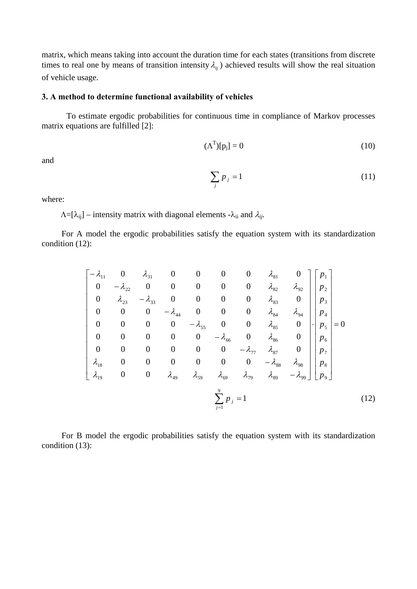matrix, which means taking into account the duration time for each states (transitions from discrete times to real one by means of transition intensity  $\lambda_{ij}$  ) achieved results will show the real situation of vehicle usage.

# **3. A method to determine functional availability of vehicles**

To estimate ergodic probabilities for continuous time in compliance of Markov processes matrix equations are fulfilled [2]:

$$
(\Lambda^{\mathrm{T}})[p_j] = 0 \tag{10}
$$

and

$$
\sum_{j} p_{j} = 1 \tag{11}
$$

where:

 $\Lambda = [\lambda_{ij}]$  – intensity matrix with diagonal elements - $\lambda_{ii}$  and  $\lambda_{ij}$ .

For A model the ergodic probabilities satisfy the equation system with its standardization condition (12):

| $-\lambda_{11}$  | $\boldsymbol{0}$ | $\lambda_{31}$   | $\boldsymbol{0}$ | $\boldsymbol{0}$ | $\boldsymbol{0}$        | $\boldsymbol{0}$ | $\lambda_{81}$  |                  | $p_{1}$                            |     |
|------------------|------------------|------------------|------------------|------------------|-------------------------|------------------|-----------------|------------------|------------------------------------|-----|
| $\boldsymbol{0}$ | $-\lambda_{22}$  | $\boldsymbol{0}$ | $\boldsymbol{0}$ | $\boldsymbol{0}$ | $\overline{0}$          | $\boldsymbol{0}$ | $\lambda_{82}$  | $\lambda_{92}$   | $p_{2}$                            |     |
| $\boldsymbol{0}$ | $\lambda_{23}$   | $-\lambda_{33}$  | $\boldsymbol{0}$ | $\boldsymbol{0}$ | $\boldsymbol{0}$        | $\boldsymbol{0}$ | $\lambda_{83}$  | $\boldsymbol{0}$ | $p_3$                              |     |
| $\boldsymbol{0}$ | $\boldsymbol{0}$ | $\boldsymbol{0}$ | $-\lambda_{44}$  | $\boldsymbol{0}$ | $\bf{0}$                | $\boldsymbol{0}$ | $\lambda_{84}$  | $\lambda_{94}$   | $p_4$                              |     |
| $\overline{0}$   | $\boldsymbol{0}$ | $\boldsymbol{0}$ | $\boldsymbol{0}$ | $-\lambda_{55}$  | $\overline{\mathbf{0}}$ | $\boldsymbol{0}$ | $\lambda_{85}$  | $\boldsymbol{0}$ | $= 0$<br>p <sub>5</sub><br>$\cdot$ |     |
| $\boldsymbol{0}$ | $\boldsymbol{0}$ | $\boldsymbol{0}$ | $\boldsymbol{0}$ | $\boldsymbol{0}$ | $-\lambda_{66}$         | $\boldsymbol{0}$ | $\lambda_{86}$  | $\boldsymbol{0}$ | $p_{6}$                            |     |
| $\boldsymbol{0}$ | $\boldsymbol{0}$ | $\boldsymbol{0}$ | $\boldsymbol{0}$ | $\boldsymbol{0}$ | $\boldsymbol{0}$        | $-\lambda_{77}$  | $\lambda_{87}$  | $\boldsymbol{0}$ | $p_7$                              |     |
| $\lambda_{18}$   | $\boldsymbol{0}$ | $\boldsymbol{0}$ | $\boldsymbol{0}$ | $\boldsymbol{0}$ | $\overline{0}$          | $\boldsymbol{0}$ | $-\lambda_{88}$ | $\lambda_{98}$   | $p_{8}$                            |     |
| $\lambda_{19}$   | $\boldsymbol{0}$ | $\boldsymbol{0}$ | $\lambda_{49}$   | $\lambda_{59}$   | $\lambda_{69}$          | $\lambda_{79}$   | $\lambda_{89}$  | $-\lambda_{99}$  | $p_{9}$                            |     |
|                  |                  |                  |                  |                  | $j=1$                   |                  |                 |                  |                                    | 12) |

For B model the ergodic probabilities satisfy the equation system with its standardization condition (13):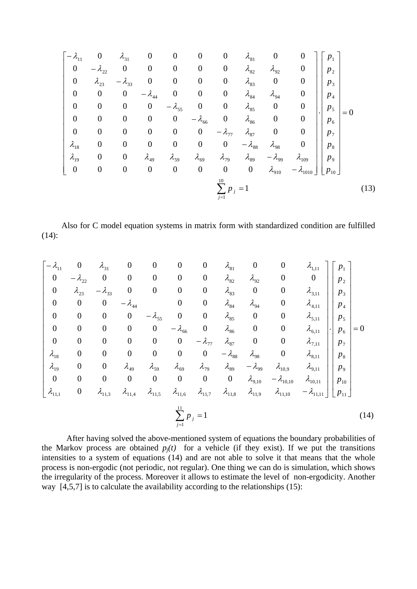$$
\begin{bmatrix}\n-\lambda_{11} & 0 & \lambda_{31} & 0 & 0 & 0 & 0 & \lambda_{81} & 0 & 0 \\
0 & -\lambda_{22} & 0 & 0 & 0 & 0 & \lambda_{82} & \lambda_{92} & 0 \\
0 & \lambda_{23} & -\lambda_{33} & 0 & 0 & 0 & \lambda_{83} & 0 & 0 \\
0 & 0 & 0 & -\lambda_{44} & 0 & 0 & 0 & \lambda_{84} & \lambda_{94} & 0 \\
0 & 0 & 0 & 0 & -\lambda_{55} & 0 & 0 & \lambda_{85} & 0 & 0 \\
0 & 0 & 0 & 0 & -\lambda_{66} & 0 & \lambda_{86} & 0 & 0 \\
0 & 0 & 0 & 0 & 0 & -\lambda_{77} & \lambda_{87} & 0 & 0 \\
\lambda_{18} & 0 & 0 & 0 & 0 & 0 & -\lambda_{78} & \lambda_{98} & 0 \\
\lambda_{19} & 0 & 0 & \lambda_{49} & \lambda_{59} & \lambda_{69} & \lambda_{79} & \lambda_{89} & -\lambda_{99} & \lambda_{109} \\
0 & 0 & 0 & 0 & 0 & 0 & 0 & \lambda_{910} & -\lambda_{1010}\n\end{bmatrix}\n\begin{bmatrix}\np_1 \\
p_2 \\
p_3 \\
p_4 \\
p_5 \\
p_6 \\
p_7 \\
p_8 \\
p_9 \\
p_9 \\
p_0\n\end{bmatrix} = 0
$$
\n(13)

Also for C model equation systems in matrix form with standardized condition are fulfilled (14):

$$
\begin{bmatrix}\n-\lambda_{11} & 0 & \lambda_{31} & 0 & 0 & 0 & 0 & \lambda_{81} & 0 & 0 & \lambda_{1,11} \\
0 & -\lambda_{22} & 0 & 0 & 0 & 0 & \lambda_{82} & \lambda_{92} & 0 & 0 \\
0 & \lambda_{23} & -\lambda_{33} & 0 & 0 & 0 & \lambda_{83} & 0 & 0 & \lambda_{3,11} \\
0 & 0 & 0 & -\lambda_{44} & 0 & 0 & \lambda_{84} & \lambda_{94} & 0 & \lambda_{4,11} \\
0 & 0 & 0 & 0 & -\lambda_{55} & 0 & 0 & \lambda_{85} & 0 & 0 & \lambda_{6,11} \\
0 & 0 & 0 & 0 & 0 & -\lambda_{66} & 0 & \lambda_{86} & 0 & 0 & \lambda_{6,11} \\
0 & 0 & 0 & 0 & 0 & 0 & -\lambda_{77} & \lambda_{87} & 0 & 0 & \lambda_{7,11} \\
\lambda_{18} & 0 & 0 & 0 & 0 & 0 & -\lambda_{78} & \lambda_{98} & 0 & \lambda_{8,11} \\
\lambda_{19} & 0 & 0 & \lambda_{49} & \lambda_{59} & \lambda_{69} & \lambda_{79} & \lambda_{89} & -\lambda_{99} & \lambda_{10,9} & \lambda_{9,11} \\
0 & 0 & 0 & 0 & 0 & 0 & 0 & 0 & \lambda_{9,10} & -\lambda_{10,10} & \lambda_{10,11} \\
\lambda_{11,1} & 0 & \lambda_{11,3} & \lambda_{11,4} & \lambda_{11,5} & \lambda_{11,6} & \lambda_{11,7} & \lambda_{11,8} & \lambda_{11,9} & \lambda_{11,10} & -\lambda_{11,11}\n\end{bmatrix}\n\begin{bmatrix}\nP_1 \\
P_2 \\
P_3 \\
P_4 \\
P_5 \\
P_6 \\
P_7 \\
P_8 \\
P_9 \\
P_9 \\
P_1 \\
P_1 \\
P_2 \\
P_2 \\
P_3 \\
P_4 \\
P_5 \\
P_6 \\
P_7 \\
P_8 \\
P_9 \\
P_1 \\
P_1 \\
P_2 \\
P_1 \\
P_2 \\
P_2 \\
P_3 \\
P_4 \\
P_5 \\
P_6 \\
P_7 \\
P_8 \\
P_9 \\
P_
$$

After having solved the above-mentioned system of equations the boundary probabilities of the Markov process are obtained  $p_i(t)$  for a vehicle (if they exist). If we put the transitions intensities to a system of equations (14) and are not able to solve it that means that the whole process is non-ergodic (not periodic, not regular). One thing we can do is simulation, which shows the irregularity of the process. Moreover it allows to estimate the level of non-ergodicity. Another way [4,5,7] is to calculate the availability according to the relationships (15):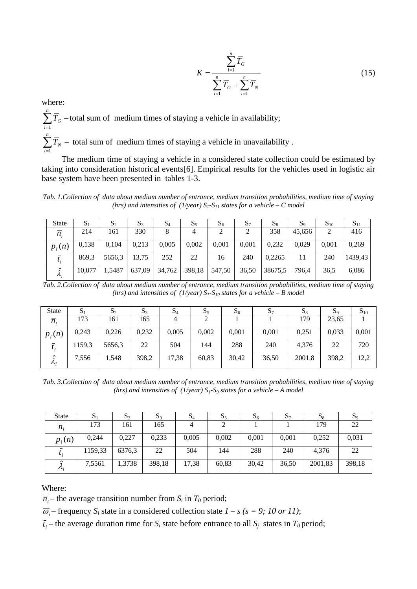$$
K = \frac{\sum_{i=1}^{n} \overline{T}_{G}}{\sum_{i=1}^{n} \overline{T}_{G} + \sum_{i=1}^{n} \overline{T}_{N}}
$$
(15)

where:

 $\sum_{i=1}^n \overline{T}_G$  – *i*  $T_G$  –total sum of medium times of staying a vehicle in availability; 1  $\sum_{i=1}^n \overline{T}_N$  –  $T_N$  – total sum of medium times of staying a vehicle in unavailability.

*i* 1 The medium time of staying a vehicle in a considered state collection could be estimated by taking into consideration historical events[6]. Empirical results for the vehicles used in logistic air base system have been presented in tables 1-3.

*Tab. 1.Collection of data about medium number of entrance, medium transition probabilities, medium time of staying (hrs) and intensities of (1/year)*  $S_1$ - $S_{11}$  *states for a vehicle – C model* 

| <b>State</b>     | D.     | $\mathcal{D}$ | $D_3$  | $\mathbf{D}$ | 55     | $\mathcal{D}_6$ | $S_7$ | $\mathbf{a}$ | $\mathcal{D}^{\rm o}$ | $\mathbf{5}_{10}$ | $\mathbf{5}_{11}$ |
|------------------|--------|---------------|--------|--------------|--------|-----------------|-------|--------------|-----------------------|-------------------|-------------------|
| $\overline{n}$ . | 214    | 161           | 330    | 8            | 4      |                 |       | 358          | 45.656                | 2                 | 416               |
| $p_i(n)$         | 0.138  | 0.104         | 0.213  | 0.005        | 0,002  | 0.001           | 0,001 | 0,232        | 0.029                 | 0,001             | 0,269             |
| ι.               | 869,3  | 5656,3        | 13,75  | 252          | 22     | 16              | 240   | 0.2265       |                       | 240               | 1439,43           |
| $\mathcal{L}$    | 10.077 | ,5487         | 637.09 | 34,762       | 398,18 | 547,50          | 36,50 | 38675,5      | 796.4                 | 36,5              | 6,086             |

*Tab. 2.Collection of data about medium number of entrance, medium transition probabilities, medium time of staying (hrs) and intensities of (1/year)*  $S_1$ - $S_{10}$  *states for a vehicle – B model* 

| <b>State</b>         | D.     | $\mathbf{D}_2$ | $\mathbf{5}$ | $\mathbf{D}_4$ | $\mathbf{D}_5$ | $S_6$ | 57    | 58     | $\mathbf{S}_9$ | $S_{10}$ |
|----------------------|--------|----------------|--------------|----------------|----------------|-------|-------|--------|----------------|----------|
| $\overline{n}$ .     | 173    | 161            | 165          | 4              |                |       |       | 179    | 23,65          |          |
| $p_i(n)$             | 0,243  | 0,226          | 0,232        | 0,005          | 0,002          | 0,001 | 0,001 | 0.251  | 0,033          | 0,001    |
| ι.                   | 1159,3 | 5656,3         | 22           | 504            | 144            | 288   | 240   | 4,376  | 22             | 720      |
| ⌒<br>$\mathcal{N}$ . | 7,556  | 1,548          | 398,2        | 17,38          | 60,83          | 30,42 | 36,50 | 2001,8 | 398,2          | 12,2     |

*Tab. 3.Collection of data about medium number of entrance, medium transition probabilities, medium time of staying (hrs) and intensities of (1/year)*  $S_1$ - $S_9$  *states for a vehicle – A model* 

| <b>State</b>                   | $\mathbf{D}$ 1 | $\mathbf{D}_2$ | $\mathbf{5}$ | $\mathbf{D}_4$ | 55    | $\mathcal{D}_6$ | D7    | 58      | 59     |
|--------------------------------|----------------|----------------|--------------|----------------|-------|-----------------|-------|---------|--------|
| $\overline{n}$                 | 173            | 161            | 165          | 4              |       |                 |       | 179     | 22     |
| $p_i(n)$                       | 0.244          | 0,227          | 0,233        | 0,005          | 0,002 | 0,001           | 0,001 | 0,252   | 0,031  |
|                                | 1159,33        | 6376,3         | 22           | 504            | 144   | 288             | 240   | 4,376   | 22     |
| $\lambda$<br>$\mathcal{N}_{i}$ | 7,5561         | 1,3738         | 398,18       | 17,38          | 60,83 | 30,42           | 36,50 | 2001,83 | 398,18 |

Where:

 $\overline{n_i}$  – the average transition number from  $S_i$  in  $T_0$  period;

 $\overline{\omega}_i$  – frequency  $S_i$  state in a considered collection state  $I - s$  ( $s = 9$ ; 10 or 11);

 $\bar{t}_i$  – the average duration time for *S<sub>i</sub>* state before entrance to all *S<sub>i</sub>* states in *T*<sub>0</sub> period;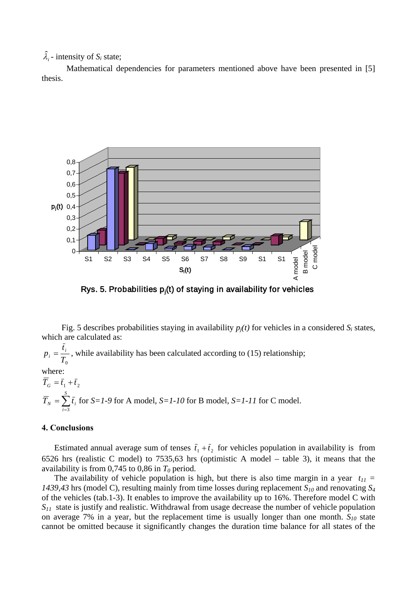$\hat{\lambda}_i$  - intensity of  $S_i$  state;

Mathematical dependencies for parameters mentioned above have been presented in [5] thesis.



Rys. 5. Probabilities p<sub>j</sub>(t) of staying in availability for vehicles

Fig. 5 describes probabilities staying in availability  $p_i(t)$  for vehicles in a considered  $S_i$  states, which are calculated as:

 $T^{}_{0}$  $p_i = \frac{\bar{t}_i}{T}$ , while availability has been calculated according to (15) relationship; where:  $\overline{T}_c = \overline{t}_1 + \overline{t}_2$ 

 $=\sum_{i=3}^{S}$ *i*  $T_N = \sum \bar{t}_i$ 3 for *S=1-9* for A model, *S=1-10* for B model, *S=1-11* for C model.

### **4. Conclusions**

Estimated annual average sum of tenses  $\bar{t}_1 + \bar{t}_2$  for vehicles population in availability is from 6526 hrs (realistic C model) to 7535,63 hrs (optimistic A model – table 3), it means that the availability is from  $0,745$  to  $0,86$  in  $T_0$  period.

The availability of vehicle population is high, but there is also time margin in a year  $t_{11}$  = *1439,43* hrs (model C), resulting mainly from time losses during replacement *S10* and renovating *S4* of the vehicles (tab.1-3). It enables to improve the availability up to 16%. Therefore model C with *S11* state is justify and realistic. Withdrawal from usage decrease the number of vehicle population on average 7% in a year, but the replacement time is usually longer than one month.  $S_{10}$  state cannot be omitted because it significantly changes the duration time balance for all states of the